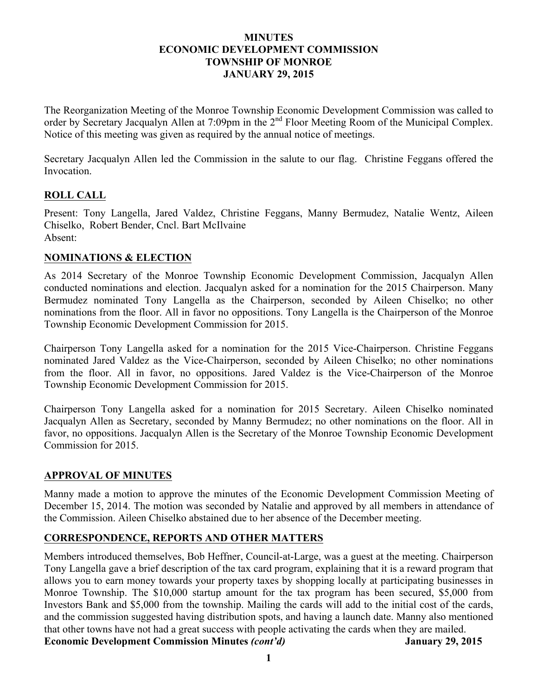### **MINUTES ECONOMIC DEVELOPMENT COMMISSION TOWNSHIP OF MONROE JANUARY 29, 2015**

The Reorganization Meeting of the Monroe Township Economic Development Commission was called to order by Secretary Jacqualyn Allen at 7:09pm in the 2<sup>nd</sup> Floor Meeting Room of the Municipal Complex. Notice of this meeting was given as required by the annual notice of meetings.

Secretary Jacqualyn Allen led the Commission in the salute to our flag. Christine Feggans offered the Invocation.

## **ROLL CALL**

Present: Tony Langella, Jared Valdez, Christine Feggans, Manny Bermudez, Natalie Wentz, Aileen Chiselko, Robert Bender, Cncl. Bart McIlvaine Absent:

## **NOMINATIONS & ELECTION**

As 2014 Secretary of the Monroe Township Economic Development Commission, Jacqualyn Allen conducted nominations and election. Jacqualyn asked for a nomination for the 2015 Chairperson. Many Bermudez nominated Tony Langella as the Chairperson, seconded by Aileen Chiselko; no other nominations from the floor. All in favor no oppositions. Tony Langella is the Chairperson of the Monroe Township Economic Development Commission for 2015.

Chairperson Tony Langella asked for a nomination for the 2015 Vice-Chairperson. Christine Feggans nominated Jared Valdez as the Vice-Chairperson, seconded by Aileen Chiselko; no other nominations from the floor. All in favor, no oppositions. Jared Valdez is the Vice-Chairperson of the Monroe Township Economic Development Commission for 2015.

Chairperson Tony Langella asked for a nomination for 2015 Secretary. Aileen Chiselko nominated Jacqualyn Allen as Secretary, seconded by Manny Bermudez; no other nominations on the floor. All in favor, no oppositions. Jacqualyn Allen is the Secretary of the Monroe Township Economic Development Commission for 2015.

# **APPROVAL OF MINUTES**

Manny made a motion to approve the minutes of the Economic Development Commission Meeting of December 15, 2014. The motion was seconded by Natalie and approved by all members in attendance of the Commission. Aileen Chiselko abstained due to her absence of the December meeting.

# **CORRESPONDENCE, REPORTS AND OTHER MATTERS**

Members introduced themselves, Bob Heffner, Council-at-Large, was a guest at the meeting. Chairperson Tony Langella gave a brief description of the tax card program, explaining that it is a reward program that allows you to earn money towards your property taxes by shopping locally at participating businesses in Monroe Township. The \$10,000 startup amount for the tax program has been secured, \$5,000 from Investors Bank and \$5,000 from the township. Mailing the cards will add to the initial cost of the cards, and the commission suggested having distribution spots, and having a launch date. Manny also mentioned that other towns have not had a great success with people activating the cards when they are mailed. **Economic Development Commission Minutes** *(cont'd)* **January 29, 2015**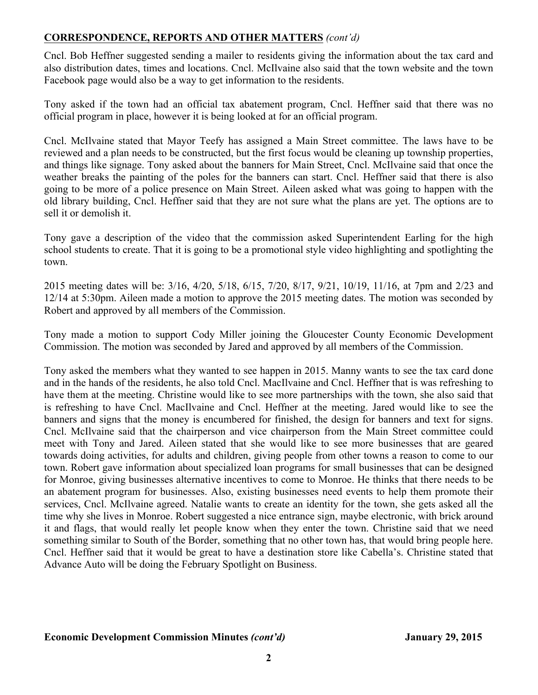## **CORRESPONDENCE, REPORTS AND OTHER MATTERS** *(cont'd)*

Cncl. Bob Heffner suggested sending a mailer to residents giving the information about the tax card and also distribution dates, times and locations. Cncl. McIlvaine also said that the town website and the town Facebook page would also be a way to get information to the residents.

Tony asked if the town had an official tax abatement program, Cncl. Heffner said that there was no official program in place, however it is being looked at for an official program.

Cncl. McIlvaine stated that Mayor Teefy has assigned a Main Street committee. The laws have to be reviewed and a plan needs to be constructed, but the first focus would be cleaning up township properties, and things like signage. Tony asked about the banners for Main Street, Cncl. McIlvaine said that once the weather breaks the painting of the poles for the banners can start. Cncl. Heffner said that there is also going to be more of a police presence on Main Street. Aileen asked what was going to happen with the old library building, Cncl. Heffner said that they are not sure what the plans are yet. The options are to sell it or demolish it.

Tony gave a description of the video that the commission asked Superintendent Earling for the high school students to create. That it is going to be a promotional style video highlighting and spotlighting the town.

2015 meeting dates will be: 3/16, 4/20, 5/18, 6/15, 7/20, 8/17, 9/21, 10/19, 11/16, at 7pm and 2/23 and 12/14 at 5:30pm. Aileen made a motion to approve the 2015 meeting dates. The motion was seconded by Robert and approved by all members of the Commission.

Tony made a motion to support Cody Miller joining the Gloucester County Economic Development Commission. The motion was seconded by Jared and approved by all members of the Commission.

Tony asked the members what they wanted to see happen in 2015. Manny wants to see the tax card done and in the hands of the residents, he also told Cncl. MacIlvaine and Cncl. Heffner that is was refreshing to have them at the meeting. Christine would like to see more partnerships with the town, she also said that is refreshing to have Cncl. MacIlvaine and Cncl. Heffner at the meeting. Jared would like to see the banners and signs that the money is encumbered for finished, the design for banners and text for signs. Cncl. McIlvaine said that the chairperson and vice chairperson from the Main Street committee could meet with Tony and Jared. Aileen stated that she would like to see more businesses that are geared towards doing activities, for adults and children, giving people from other towns a reason to come to our town. Robert gave information about specialized loan programs for small businesses that can be designed for Monroe, giving businesses alternative incentives to come to Monroe. He thinks that there needs to be an abatement program for businesses. Also, existing businesses need events to help them promote their services, Cncl. McIlvaine agreed. Natalie wants to create an identity for the town, she gets asked all the time why she lives in Monroe. Robert suggested a nice entrance sign, maybe electronic, with brick around it and flags, that would really let people know when they enter the town. Christine said that we need something similar to South of the Border, something that no other town has, that would bring people here. Cncl. Heffner said that it would be great to have a destination store like Cabella's. Christine stated that Advance Auto will be doing the February Spotlight on Business.